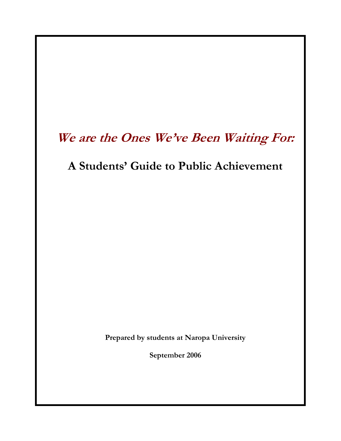# **We are the Ones We've Been Waiting For:**

# **A Students' Guide to Public Achievement**

**Prepared by students at Naropa University** 

**September 2006**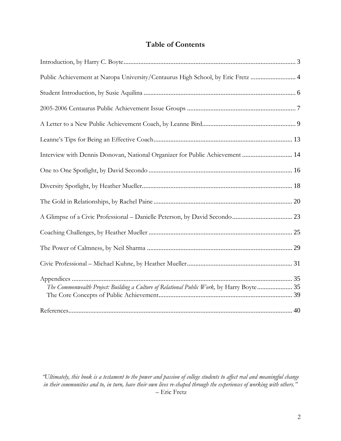## **Table of Contents**

| Public Achievement at Naropa University/Centaurus High School, by Eric Fretz  4           |  |
|-------------------------------------------------------------------------------------------|--|
|                                                                                           |  |
|                                                                                           |  |
|                                                                                           |  |
|                                                                                           |  |
| Interview with Dennis Donovan, National Organizer for Public Achievement  14              |  |
|                                                                                           |  |
|                                                                                           |  |
|                                                                                           |  |
|                                                                                           |  |
|                                                                                           |  |
|                                                                                           |  |
|                                                                                           |  |
| The Commonwealth Project: Building a Culture of Relational Public Work, by Harry Boyte 35 |  |
|                                                                                           |  |

*"Ultimately, this book is a testament to the power and passion of college students to affect real and meaningful change in their communities and to, in turn, have their own lives re-shaped through the experiences of working with others."*  – Eric Fretz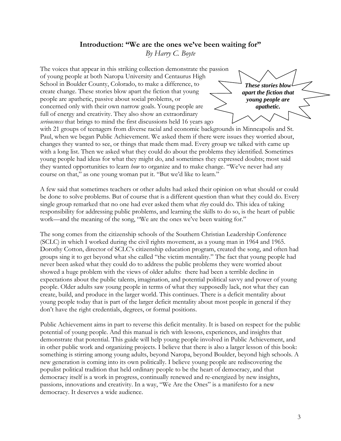### **Introduction: "We are the ones we've been waiting for"**  *By Harry C. Boyte*

The voices that appear in this striking collection demonstrate the passion of young people at both Naropa University and Centaurus High School in Boulder County, Colorado, to make a difference, to create change. These stories blow apart the fiction that young people are apathetic, passive about social problems, or concerned only with their own narrow goals. Young people are full of energy and creativity. They also show an extraordinary *seriousness* that brings to mind the first discussions held 16 years ago

*These stories blow apart the fiction that young people are apathetic.* 

with 21 groups of teenagers from diverse racial and economic backgrounds in Minneapolis and St. Paul, when we began Public Achievement. We asked them if there were issues they worried about, changes they wanted to see, or things that made them mad. Every group we talked with came up with a long list. Then we asked what they could do about the problems they identified. Sometimes young people had ideas for what they might do, and sometimes they expressed doubts; most said they wanted opportunities to learn *how* to organize and to make change. "We've never had any course on that," as one young woman put it. "But we'd like to learn."

A few said that sometimes teachers or other adults had asked their opinion on what should or could be done to solve problems. But of course that is a different question than what they could do. Every single group remarked that no one had ever asked them what *they* could do. This idea of taking responsibility for addressing public problems, and learning the skills to do so, is the heart of public work—and the meaning of the song, "We are the ones we've been waiting for."

The song comes from the citizenship schools of the Southern Christian Leadership Conference (SCLC) in which I worked during the civil rights movement, as a young man in 1964 and 1965. Dorothy Cotton, director of SCLC's citizenship education program, created the song, and often had groups sing it to get beyond what she called "the victim mentality." The fact that young people had never been asked what they could do to address the public problems they were worried about showed a huge problem with the views of older adults: there had been a terrible decline in expectations about the public talents, imagination, and potential political savvy and power of young people. Older adults saw young people in terms of what they supposedly lack, not what they can create, build, and produce in the larger world. This continues. There is a deficit mentality about young people today that is part of the larger deficit mentality about most people in general if they don't have the right credentials, degrees, or formal positions.

Public Achievement aims in part to reverse this deficit mentality. It is based on respect for the public potential of young people. And this manual is rich with lessons, experiences, and insights that demonstrate that potential. This guide will help young people involved in Public Achievement, and in other public work and organizing projects. I believe that there is also a larger lesson of this book: something is stirring among young adults, beyond Naropa, beyond Boulder, beyond high schools. A new generation is coming into its own politically. I believe young people are rediscovering the populist political tradition that held ordinary people to be the heart of democracy, and that democracy itself is a work in progress, continually renewed and re-energized by new insights, passions, innovations and creativity. In a way, "We Are the Ones" is a manifesto for a new democracy. It deserves a wide audience.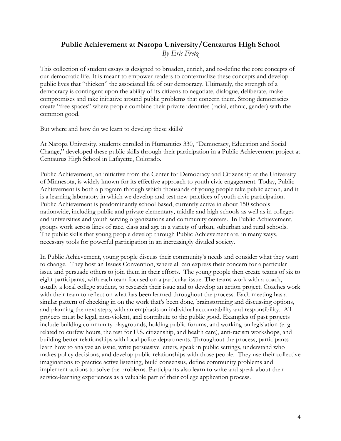## **Public Achievement at Naropa University/Centaurus High School**  *By Eric Fretz*

This collection of student essays is designed to broaden, enrich, and re-define the core concepts of our democratic life. It is meant to empower readers to contextualize these concepts and develop public lives that "thicken" the associated life of our democracy. Ultimately, the strength of a democracy is contingent upon the ability of its citizens to negotiate, dialogue, deliberate, make compromises and take initiative around public problems that concern them. Strong democracies create "free spaces" where people combine their private identities (racial, ethnic, gender) with the common good.

But where and how do we learn to develop these skills?

At Naropa University, students enrolled in Humanities 330, "Democracy, Education and Social Change," developed these public skills through their participation in a Public Achievement project at Centaurus High School in Lafayette, Colorado.

Public Achievement, an initiative from the Center for Democracy and Citizenship at the University of Minnesota, is widely known for its effective approach to youth civic engagement. Today, Public Achievement is both a program through which thousands of young people take public action, and it is a learning laboratory in which we develop and test new practices of youth civic participation. Public Achievement is predominantly school based, currently active in about 150 schools nationwide, including public and private elementary, middle and high schools as well as in colleges and universities and youth serving organizations and community centers. In Public Achievement, groups work across lines of race, class and age in a variety of urban, suburban and rural schools. The public skills that young people develop through Public Achievement are, in many ways, necessary tools for powerful participation in an increasingly divided society.

In Public Achievement, young people discuss their community's needs and consider what they want to change. They host an Issues Convention, where all can express their concern for a particular issue and persuade others to join them in their efforts. The young people then create teams of six to eight participants, with each team focused on a particular issue. The teams work with a coach, usually a local college student, to research their issue and to develop an action project. Coaches work with their team to reflect on what has been learned throughout the process. Each meeting has a similar pattern of checking in on the work that's been done, brainstorming and discussing options, and planning the next steps, with an emphasis on individual accountability and responsibility. All projects must be legal, non-violent, and contribute to the public good. Examples of past projects include building community playgrounds, holding public forums, and working on legislation (e. g. related to curfew hours, the test for U.S. citizenship, and health care), anti-racism workshops, and building better relationships with local police departments. Throughout the process, participants learn how to analyze an issue, write persuasive letters, speak in public settings, understand who makes policy decisions, and develop public relationships with those people. They use their collective imaginations to practice active listening, build consensus, define community problems and implement actions to solve the problems. Participants also learn to write and speak about their service-learning experiences as a valuable part of their college application process.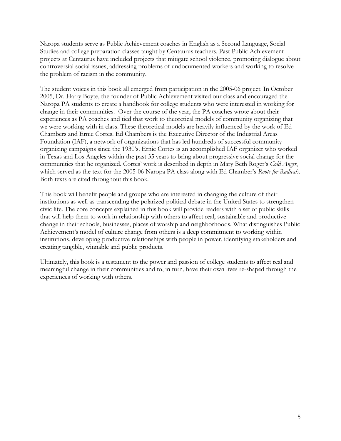Naropa students serve as Public Achievement coaches in English as a Second Language, Social Studies and college preparation classes taught by Centaurus teachers. Past Public Achievement projects at Centaurus have included projects that mitigate school violence, promoting dialogue about controversial social issues, addressing problems of undocumented workers and working to resolve the problem of racism in the community.

The student voices in this book all emerged from participation in the 2005-06 project. In October 2005, Dr. Harry Boyte, the founder of Public Achievement visited our class and encouraged the Naropa PA students to create a handbook for college students who were interested in working for change in their communities. Over the course of the year, the PA coaches wrote about their experiences as PA coaches and tied that work to theoretical models of community organizing that we were working with in class. These theoretical models are heavily influenced by the work of Ed Chambers and Ernie Cortes. Ed Chambers is the Executive Director of the Industrial Areas Foundation (IAF), a network of organizations that has led hundreds of successful community organizing campaigns since the 1930's. Ernie Cortes is an accomplished IAF organizer who worked in Texas and Los Angeles within the past 35 years to bring about progressive social change for the communities that he organized. Cortes' work is described in depth in Mary Beth Roger's *Cold Anger*, which served as the text for the 2005-06 Naropa PA class along with Ed Chamber's *Roots for Radicals*. Both texts are cited throughout this book.

This book will benefit people and groups who are interested in changing the culture of their institutions as well as transcending the polarized political debate in the United States to strengthen civic life. The core concepts explained in this book will provide readers with a set of public skills that will help them to work in relationship with others to affect real, sustainable and productive change in their schools, businesses, places of worship and neighborhoods. What distinguishes Public Achievement's model of culture change from others is a deep commitment to working within institutions, developing productive relationships with people in power, identifying stakeholders and creating tangible, winnable and public products.

Ultimately, this book is a testament to the power and passion of college students to affect real and meaningful change in their communities and to, in turn, have their own lives re-shaped through the experiences of working with others.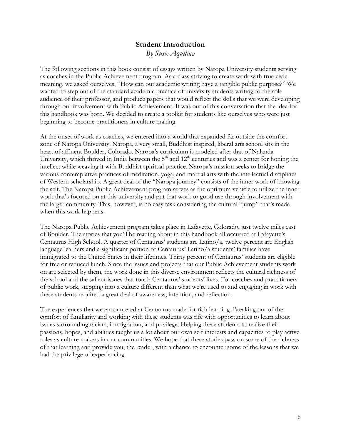## **Student Introduction**

*By Susie Aquilina* 

The following sections in this book consist of essays written by Naropa University students serving as coaches in the Public Achievement program. As a class striving to create work with true civic meaning, we asked ourselves, "How can our academic writing have a tangible public purpose?" We wanted to step out of the standard academic practice of university students writing to the sole audience of their professor, and produce papers that would reflect the skills that we were developing through our involvement with Public Achievement. It was out of this conversation that the idea for this handbook was born. We decided to create a toolkit for students like ourselves who were just beginning to become practitioners in culture making.

At the onset of work as coaches, we entered into a world that expanded far outside the comfort zone of Naropa University. Naropa, a very small, Buddhist inspired, liberal arts school sits in the heart of affluent Boulder, Colorado. Naropa's curriculum is modeled after that of Nalanda University, which thrived in India between the  $5<sup>th</sup>$  and  $12<sup>th</sup>$  centuries and was a center for honing the intellect while weaving it with Buddhist spiritual practice. Naropa's mission seeks to bridge the various contemplative practices of meditation, yoga, and martial arts with the intellectual disciplines of Western scholarship. A great deal of the "Naropa journey" consists of the inner work of knowing the self. The Naropa Public Achievement program serves as the optimum vehicle to utilize the inner work that's focused on at this university and put that work to good use through involvement with the larger community. This, however, is no easy task considering the cultural "jump" that's made when this work happens.

The Naropa Public Achievement program takes place in Lafayette, Colorado, just twelve miles east of Boulder. The stories that you'll be reading about in this handbook all occurred at Lafayette's Centaurus High School. A quarter of Centaurus' students are Latino/a, twelve percent are English language learners and a significant portion of Centaurus' Latino/a students' families have immigrated to the United States in their lifetimes. Thirty percent of Centaurus' students are eligible for free or reduced lunch. Since the issues and projects that our Public Achievement students work on are selected by them, the work done in this diverse environment reflects the cultural richness of the school and the salient issues that touch Centaurus' students' lives. For coaches and practitioners of public work, stepping into a culture different than what we're used to and engaging in work with these students required a great deal of awareness, intention, and reflection.

The experiences that we encountered at Centaurus made for rich learning. Breaking out of the comfort of familiarity and working with these students was rife with opportunities to learn about issues surrounding racism, immigration, and privilege. Helping these students to realize their passions, hopes, and abilities taught us a lot about our own self interests and capacities to play active roles as culture makers in our communities. We hope that these stories pass on some of the richness of that learning and provide you, the reader, with a chance to encounter some of the lessons that we had the privilege of experiencing.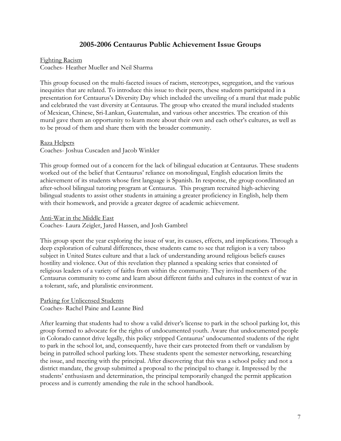### **2005-2006 Centaurus Public Achievement Issue Groups**

#### Fighting Racism

Coaches- Heather Mueller and Neil Sharma

This group focused on the multi-faceted issues of racism, stereotypes, segregation, and the various inequities that are related. To introduce this issue to their peers, these students participated in a presentation for Centaurus's Diversity Day which included the unveiling of a mural that made public and celebrated the vast diversity at Centaurus. The group who created the mural included students of Mexican, Chinese, Sri-Lankan, Guatemalan, and various other ancestries. The creation of this mural gave them an opportunity to learn more about their own and each other's cultures, as well as to be proud of them and share them with the broader community.

### Raza Helpers

Coaches- Joshua Cuscaden and Jacob Winkler

This group formed out of a concern for the lack of bilingual education at Centaurus. These students worked out of the belief that Centaurus' reliance on monolingual, English education limits the achievement of its students whose first language is Spanish. In response, the group coordinated an after-school bilingual tutoring program at Centaurus. This program recruited high-achieving bilingual students to assist other students in attaining a greater proficiency in English, help them with their homework, and provide a greater degree of academic achievement.

#### Anti-War in the Middle East

Coaches- Laura Zeigler, Jared Hassen, and Josh Gambrel

This group spent the year exploring the issue of war, its causes, effects, and implications. Through a deep exploration of cultural differences, these students came to see that religion is a very taboo subject in United States culture and that a lack of understanding around religious beliefs causes hostility and violence. Out of this revelation they planned a speaking series that consisted of religious leaders of a variety of faiths from within the community. They invited members of the Centaurus community to come and learn about different faiths and cultures in the context of war in a tolerant, safe, and pluralistic environment.

### Parking for Unlicensed Students

Coaches- Rachel Paine and Leanne Bird

After learning that students had to show a valid driver's license to park in the school parking lot, this group formed to advocate for the rights of undocumented youth. Aware that undocumented people in Colorado cannot drive legally, this policy stripped Centaurus' undocumented students of the right to park in the school lot, and, consequently, have their cars protected from theft or vandalism by being in patrolled school parking lots. These students spent the semester networking, researching the issue, and meeting with the principal. After discovering that this was a school policy and not a district mandate, the group submitted a proposal to the principal to change it. Impressed by the students' enthusiasm and determination, the principal temporarily changed the permit application process and is currently amending the rule in the school handbook.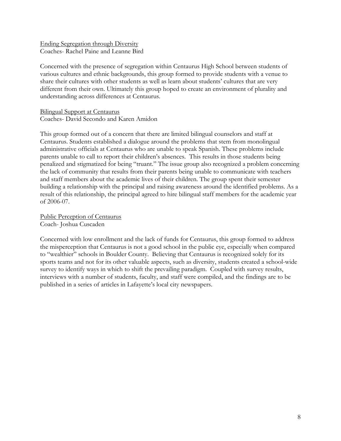Ending Segregation through Diversity Coaches- Rachel Paine and Leanne Bird

Concerned with the presence of segregation within Centaurus High School between students of various cultures and ethnic backgrounds, this group formed to provide students with a venue to share their cultures with other students as well as learn about students' cultures that are very different from their own. Ultimately this group hoped to create an environment of plurality and understanding across differences at Centaurus.

Bilingual Support at Centaurus Coaches- David Secondo and Karen Amidon

This group formed out of a concern that there are limited bilingual counselors and staff at Centaurus. Students established a dialogue around the problems that stem from monolingual administrative officials at Centaurus who are unable to speak Spanish. These problems include parents unable to call to report their children's absences. This results in those students being penalized and stigmatized for being "truant." The issue group also recognized a problem concerning the lack of community that results from their parents being unable to communicate with teachers and staff members about the academic lives of their children. The group spent their semester building a relationship with the principal and raising awareness around the identified problems. As a result of this relationship, the principal agreed to hire bilingual staff members for the academic year of 2006-07.

Public Perception of Centaurus Coach- Joshua Cuscaden

Concerned with low enrollment and the lack of funds for Centaurus, this group formed to address the misperception that Centaurus is not a good school in the public eye, especially when compared to "wealthier" schools in Boulder County. Believing that Centaurus is recognized solely for its sports teams and not for its other valuable aspects, such as diversity, students created a school-wide survey to identify ways in which to shift the prevailing paradigm. Coupled with survey results, interviews with a number of students, faculty, and staff were compiled, and the findings are to be published in a series of articles in Lafayette's local city newspapers.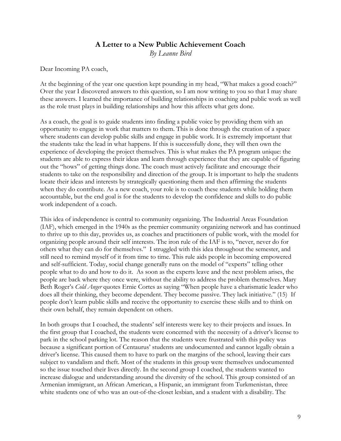### **A Letter to a New Public Achievement Coach**

*By Leanne Bird* 

Dear Incoming PA coach,

At the beginning of the year one question kept pounding in my head, "What makes a good coach?" Over the year I discovered answers to this question, so I am now writing to you so that I may share these answers. I learned the importance of building relationships in coaching and public work as well as the role trust plays in building relationships and how this affects what gets done.

As a coach, the goal is to guide students into finding a public voice by providing them with an opportunity to engage in work that matters to them. This is done through the creation of a space where students can develop public skills and engage in public work. It is extremely important that the students take the lead in what happens. If this is successfully done, they will then own the experience of developing the project themselves. This is what makes the PA program unique: the students are able to express their ideas and learn through experience that they are capable of figuring out the "hows" of getting things done. The coach must actively facilitate and encourage their students to take on the responsibility and direction of the group. It is important to help the students locate their ideas and interests by strategically questioning them and then affirming the students when they do contribute. As a new coach, your role is to coach these students while holding them accountable, but the end goal is for the students to develop the confidence and skills to do public work independent of a coach.

This idea of independence is central to community organizing. The Industrial Areas Foundation (IAF), which emerged in the 1940s as the premier community organizing network and has continued to thrive up to this day, provides us, as coaches and practitioners of public work, with the model for organizing people around their self interests. The iron rule of the IAF is to, "never, never do for others what they can do for themselves." I struggled with this idea throughout the semester, and still need to remind myself of it from time to time. This rule aids people in becoming empowered and self-sufficient. Today, social change generally runs on the model of "experts" telling other people what to do and how to do it. As soon as the experts leave and the next problem arises, the people are back where they once were, without the ability to address the problem themselves. Mary Beth Roger's *Cold Anger* quotes Ernie Cortes as saying "When people have a charismatic leader who does all their thinking, they become dependent. They become passive. They lack initiative." (15) If people don't learn public skills and receive the opportunity to exercise these skills and to think on their own behalf, they remain dependent on others.

In both groups that I coached, the students' self interests were key to their projects and issues. In the first group that I coached, the students were concerned with the necessity of a driver's license to park in the school parking lot. The reason that the students were frustrated with this policy was because a significant portion of Centaurus' students are undocumented and cannot legally obtain a driver's license. This caused them to have to park on the margins of the school, leaving their cars subject to vandalism and theft. Most of the students in this group were themselves undocumented so the issue touched their lives directly. In the second group I coached, the students wanted to increase dialogue and understanding around the diversity of the school. This group consisted of an Armenian immigrant, an African American, a Hispanic, an immigrant from Turkmenistan, three white students one of who was an out-of-the-closet lesbian, and a student with a disability. The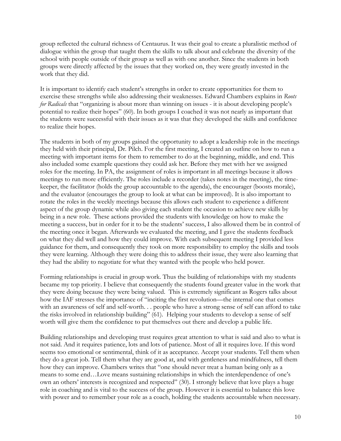group reflected the cultural richness of Centaurus. It was their goal to create a pluralistic method of dialogue within the group that taught them the skills to talk about and celebrate the diversity of the school with people outside of their group as well as with one another. Since the students in both groups were directly affected by the issues that they worked on, they were greatly invested in the work that they did.

It is important to identify each student's strengths in order to create opportunities for them to exercise these strengths while also addressing their weaknesses. Edward Chambers explains in *Roots for Radicals* that "organizing is about more than winning on issues - it is about developing people's potential to realize their hopes" (60). In both groups I coached it was not nearly as important that the students were successful with their issues as it was that they developed the skills and confidence to realize their hopes.

The students in both of my groups gained the opportunity to adopt a leadership role in the meetings they held with their principal, Dr. Pilch. For the first meeting, I created an outline on how to run a meeting with important items for them to remember to do at the beginning, middle, and end. This also included some example questions they could ask her. Before they met with her we assigned roles for the meeting. In PA, the assignment of roles is important in all meetings because it allows meetings to run more efficiently. The roles include a recorder (takes notes in the meeting), the timekeeper, the facilitator (holds the group accountable to the agenda), the encourager (boosts morale), and the evaluator (encourages the group to look at what can be improved). It is also important to rotate the roles in the weekly meetings because this allows each student to experience a different aspect of the group dynamic while also giving each student the occasion to achieve new skills by being in a new role. These actions provided the students with knowledge on how to make the meeting a success, but in order for it to be the students' success, I also allowed them be in control of the meeting once it began. Afterwards we evaluated the meeting, and I gave the students feedback on what they did well and how they could improve. With each subsequent meeting I provided less guidance for them, and consequently they took on more responsibility to employ the skills and tools they were learning. Although they were doing this to address their issue, they were also learning that they had the ability to negotiate for what they wanted with the people who held power.

Forming relationships is crucial in group work. Thus the building of relationships with my students became my top priority. I believe that consequently the students found greater value in the work that they were doing because they were being valued. This is extremely significant as Rogers talks about how the IAF stresses the importance of "inciting the first revolution—the internal one that comes with an awareness of self and self-worth. . . people who have a strong sense of self can afford to take the risks involved in relationship building" (61). Helping your students to develop a sense of self worth will give them the confidence to put themselves out there and develop a public life.

Building relationships and developing trust requires great attention to what is said and also to what is not said. And it requires patience, lots and lots of patience. Most of all it requires love. If this word seems too emotional or sentimental, think of it as acceptance. Accept your students. Tell them when they do a great job. Tell them what they are good at, and with gentleness and mindfulness, tell them how they can improve. Chambers writes that "one should never treat a human being only as a means to some end…Love means sustaining relationships in which the interdependence of one's own an others' interests is recognized and respected" (30). I strongly believe that love plays a huge role in coaching and is vital to the success of the group. However it is essential to balance this love with power and to remember your role as a coach, holding the students accountable when necessary.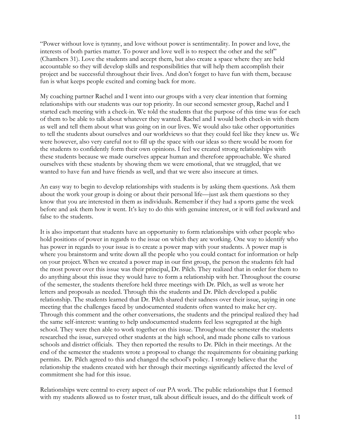"Power without love is tyranny, and love without power is sentimentality. In power and love, the interests of both parties matter. To power and love well is to respect the other and the self" (Chambers 31). Love the students and accept them, but also create a space where they are held accountable so they will develop skills and responsibilities that will help them accomplish their project and be successful throughout their lives. And don't forget to have fun with them, because fun is what keeps people excited and coming back for more.

My coaching partner Rachel and I went into our groups with a very clear intention that forming relationships with our students was our top priority. In our second semester group, Rachel and I started each meeting with a check-in. We told the students that the purpose of this time was for each of them to be able to talk about whatever they wanted. Rachel and I would both check-in with them as well and tell them about what was going on in our lives. We would also take other opportunities to tell the students about ourselves and our worldviews so that they could feel like they knew us. We were however, also very careful not to fill up the space with our ideas so there would be room for the students to confidently form their own opinions. I feel we created strong relationships with these students because we made ourselves appear human and therefore approachable. We shared ourselves with these students by showing them we were emotional, that we struggled, that we wanted to have fun and have friends as well, and that we were also insecure at times.

An easy way to begin to develop relationships with students is by asking them questions. Ask them about the work your group is doing or about their personal life—just ask them questions so they know that you are interested in them as individuals. Remember if they had a sports game the week before and ask them how it went. It's key to do this with genuine interest, or it will feel awkward and false to the students.

It is also important that students have an opportunity to form relationships with other people who hold positions of power in regards to the issue on which they are working. One way to identify who has power in regards to your issue is to create a power map with your students. A power map is where you brainstorm and write down all the people who you could contact for information or help on your project. When we created a power map in our first group, the person the students felt had the most power over this issue was their principal, Dr. Pilch. They realized that in order for them to do anything about this issue they would have to form a relationship with her. Throughout the course of the semester, the students therefore held three meetings with Dr. Pilch, as well as wrote her letters and proposals as needed. Through this the students and Dr. Pilch developed a public relationship. The students learned that Dr. Pilch shared their sadness over their issue, saying in one meeting that the challenges faced by undocumented students often wanted to make her cry. Through this comment and the other conversations, the students and the principal realized they had the same self-interest: wanting to help undocumented students feel less segregated at the high school. They were then able to work together on this issue. Throughout the semester the students researched the issue, surveyed other students at the high school, and made phone calls to various schools and district officials. They then reported the results to Dr. Pilch in their meetings. At the end of the semester the students wrote a proposal to change the requirements for obtaining parking permits. Dr. Pilch agreed to this and changed the school's policy. I strongly believe that the relationship the students created with her through their meetings significantly affected the level of commitment she had for this issue.

Relationships were central to every aspect of our PA work. The public relationships that I formed with my students allowed us to foster trust, talk about difficult issues, and do the difficult work of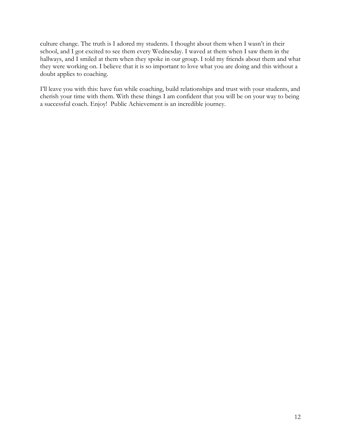culture change. The truth is I adored my students. I thought about them when I wasn't in their school, and I got excited to see them every Wednesday. I waved at them when I saw them in the hallways, and I smiled at them when they spoke in our group. I told my friends about them and what they were working on. I believe that it is so important to love what you are doing and this without a doubt applies to coaching.

I'll leave you with this: have fun while coaching, build relationships and trust with your students, and cherish your time with them. With these things I am confident that you will be on your way to being a successful coach. Enjoy! Public Achievement is an incredible journey.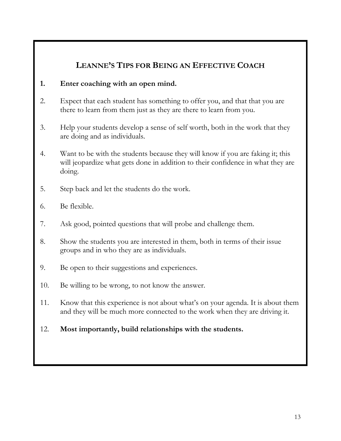## **LEANNE'S TIPS FOR BEING AN EFFECTIVE COACH**

### **1. Enter coaching with an open mind.**

- 2. Expect that each student has something to offer you, and that that you are there to learn from them just as they are there to learn from you.
- 3. Help your students develop a sense of self worth, both in the work that they are doing and as individuals.
- 4. Want to be with the students because they will know if you are faking it; this will jeopardize what gets done in addition to their confidence in what they are doing.
- 5. Step back and let the students do the work.
- 6. Be flexible.
- 7. Ask good, pointed questions that will probe and challenge them.
- 8. Show the students you are interested in them, both in terms of their issue groups and in who they are as individuals.
- 9. Be open to their suggestions and experiences.
- 10. Be willing to be wrong, to not know the answer.
- 11. Know that this experience is not about what's on your agenda. It is about them and they will be much more connected to the work when they are driving it.
- 12. **Most importantly, build relationships with the students.**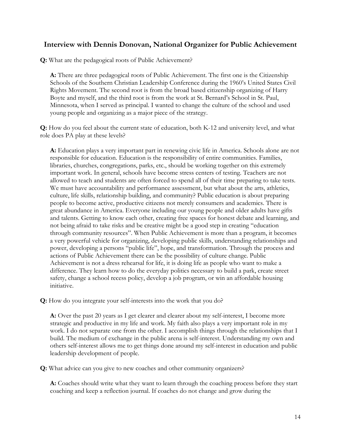### **Interview with Dennis Donovan, National Organizer for Public Achievement**

**Q:** What are the pedagogical roots of Public Achievement?

**A:** There are three pedagogical roots of Public Achievement. The first one is the Citizenship Schools of the Southern Christian Leadership Conference during the 1960's United States Civil Rights Movement. The second root is from the broad based citizenship organizing of Harry Boyte and myself, and the third root is from the work at St. Bernard's School in St. Paul, Minnesota, when I served as principal. I wanted to change the culture of the school and used young people and organizing as a major piece of the strategy.

**Q:** How do you feel about the current state of education, both K-12 and university level, and what role does PA play at these levels?

**A:** Education plays a very important part in renewing civic life in America. Schools alone are not responsible for education. Education is the responsibility of entire communities. Families, libraries, churches, congregations, parks, etc., should be working together on this extremely important work. In general, schools have become stress centers of testing. Teachers are not allowed to teach and students are often forced to spend all of their time preparing to take tests. We must have accountability and performance assessment, but what about the arts, athletics, culture, life skills, relationship building, and community? Public education is about preparing people to become active, productive citizens not merely consumers and academics. There is great abundance in America. Everyone including our young people and older adults have gifts and talents. Getting to know each other, creating free spaces for honest debate and learning, and not being afraid to take risks and be creative might be a good step in creating "education through community resources". When Public Achievement is more than a program, it becomes a very powerful vehicle for organizing, developing public skills, understanding relationships and power, developing a persons "public life", hope, and transformation. Through the process and actions of Public Achievement there can be the possibility of culture change. Public Achievement is not a dress rehearsal for life, it is doing life as people who want to make a difference. They learn how to do the everyday politics necessary to build a park, create street safety, change a school recess policy, develop a job program, or win an affordable housing initiative.

**Q:** How do you integrate your self-interests into the work that you do?

**A:** Over the past 20 years as I get clearer and clearer about my self-interest, I become more strategic and productive in my life and work. My faith also plays a very important role in my work. I do not separate one from the other. I accomplish things through the relationships that I build. The medium of exchange in the public arena is self-interest. Understanding my own and others self-interest allows me to get things done around my self-interest in education and public leadership development of people.

**Q:** What advice can you give to new coaches and other community organizers?

**A:** Coaches should write what they want to learn through the coaching process before they start coaching and keep a reflection journal. If coaches do not change and grow during the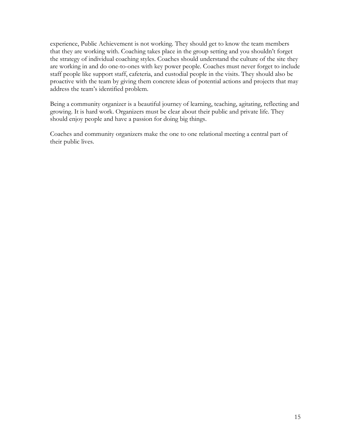experience, Public Achievement is not working. They should get to know the team members that they are working with. Coaching takes place in the group setting and you shouldn't forget the strategy of individual coaching styles. Coaches should understand the culture of the site they are working in and do one-to-ones with key power people. Coaches must never forget to include staff people like support staff, cafeteria, and custodial people in the visits. They should also be proactive with the team by giving them concrete ideas of potential actions and projects that may address the team's identified problem.

Being a community organizer is a beautiful journey of learning, teaching, agitating, reflecting and growing. It is hard work. Organizers must be clear about their public and private life. They should enjoy people and have a passion for doing big things.

Coaches and community organizers make the one to one relational meeting a central part of their public lives.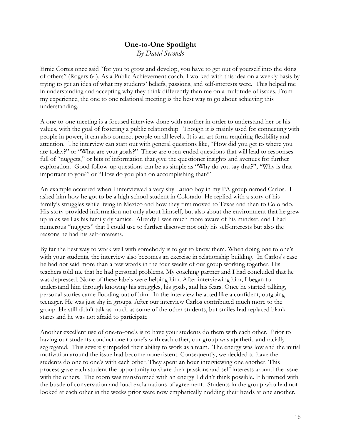# **One-to-One Spotlight**

*By David Secondo* 

Ernie Cortes once said "for you to grow and develop, you have to get out of yourself into the skins of others" (Rogers 64). As a Public Achievement coach, I worked with this idea on a weekly basis by trying to get an idea of what my students' beliefs, passions, and self-interests were. This helped me in understanding and accepting why they think differently than me on a multitude of issues. From my experience, the one to one relational meeting is the best way to go about achieving this understanding.

A one-to-one meeting is a focused interview done with another in order to understand her or his values, with the goal of fostering a public relationship. Though it is mainly used for connecting with people in power, it can also connect people on all levels. It is an art form requiring flexibility and attention. The interview can start out with general questions like, "How did you get to where you are today?" or "What are your goals?" These are open-ended questions that will lead to responses full of "nuggets," or bits of information that give the questioner insights and avenues for further exploration. Good follow-up questions can be as simple as "Why do you say that?", "Why is that important to you?" or "How do you plan on accomplishing that?"

An example occurred when I interviewed a very shy Latino boy in my PA group named Carlos. I asked him how he got to be a high school student in Colorado. He replied with a story of his family's struggles while living in Mexico and how they first moved to Texas and then to Colorado. His story provided information not only about himself, but also about the environment that he grew up in as well as his family dynamics. Already I was much more aware of his mindset, and I had numerous "nuggets" that I could use to further discover not only his self-interests but also the reasons he had his self-interests.

By far the best way to work well with somebody is to get to know them. When doing one to one's with your students, the interview also becomes an exercise in relationship building. In Carlos's case he had not said more than a few words in the four weeks of our group working together. His teachers told me that he had personal problems. My coaching partner and I had concluded that he was depressed. None of these labels were helping him. After interviewing him, I began to understand him through knowing his struggles, his goals, and his fears. Once he started talking, personal stories came flooding out of him. In the interview he acted like a confident, outgoing teenager. He was just shy in groups. After our interview Carlos contributed much more to the group. He still didn't talk as much as some of the other students, but smiles had replaced blank stares and he was not afraid to participate

Another excellent use of one-to-one's is to have your students do them with each other. Prior to having our students conduct one to one's with each other, our group was apathetic and racially segregated. This severely impeded their ability to work as a team. The energy was low and the initial motivation around the issue had become nonexistent. Consequently, we decided to have the students do one to one's with each other. They spent an hour interviewing one another. This process gave each student the opportunity to share their passions and self-interests around the issue with the others. The room was transformed with an energy I didn't think possible. It brimmed with the bustle of conversation and loud exclamations of agreement. Students in the group who had not looked at each other in the weeks prior were now emphatically nodding their heads at one another.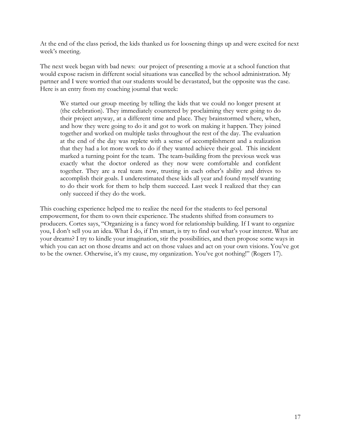At the end of the class period, the kids thanked us for loosening things up and were excited for next week's meeting.

The next week began with bad news: our project of presenting a movie at a school function that would expose racism in different social situations was cancelled by the school administration. My partner and I were worried that our students would be devastated, but the opposite was the case. Here is an entry from my coaching journal that week:

We started our group meeting by telling the kids that we could no longer present at (the celebration). They immediately countered by proclaiming they were going to do their project anyway, at a different time and place. They brainstormed where, when, and how they were going to do it and got to work on making it happen. They joined together and worked on multiple tasks throughout the rest of the day. The evaluation at the end of the day was replete with a sense of accomplishment and a realization that they had a lot more work to do if they wanted achieve their goal. This incident marked a turning point for the team. The team-building from the previous week was exactly what the doctor ordered as they now were comfortable and confident together. They are a real team now, trusting in each other's ability and drives to accomplish their goals. I underestimated these kids all year and found myself wanting to do their work for them to help them succeed. Last week I realized that they can only succeed if they do the work.

This coaching experience helped me to realize the need for the students to feel personal empowerment, for them to own their experience. The students shifted from consumers to producers. Cortes says, "Organizing is a fancy word for relationship building. If I want to organize you, I don't sell you an idea. What I do, if I'm smart, is try to find out what's your interest. What are your dreams? I try to kindle your imagination, stir the possibilities, and then propose some ways in which you can act on those dreams and act on those values and act on your own visions. You've got to be the owner. Otherwise, it's my cause, my organization. You've got nothing!" (Rogers 17).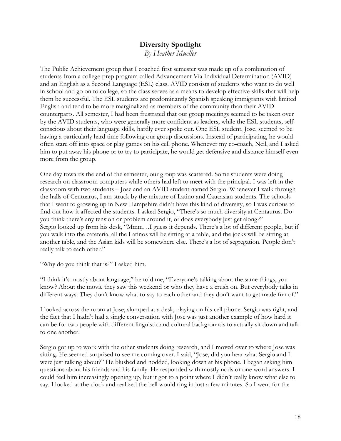## **Diversity Spotlight**  *By Heather Mueller*

The Public Achievement group that I coached first semester was made up of a combination of students from a college-prep program called Advancement Via Individual Determination (AVID) and an English as a Second Language (ESL) class. AVID consists of students who want to do well in school and go on to college, so the class serves as a means to develop effective skills that will help them be successful. The ESL students are predominantly Spanish speaking immigrants with limited English and tend to be more marginalized as members of the community than their AVID counterparts. All semester, I had been frustrated that our group meetings seemed to be taken over by the AVID students, who were generally more confident as leaders, while the ESL students, selfconscious about their language skills, hardly ever spoke out. One ESL student, Jose, seemed to be having a particularly hard time following our group discussions. Instead of participating, he would often stare off into space or play games on his cell phone. Whenever my co-coach, Neil, and I asked him to put away his phone or to try to participate, he would get defensive and distance himself even more from the group.

One day towards the end of the semester, our group was scattered. Some students were doing research on classroom computers while others had left to meet with the principal. I was left in the classroom with two students – Jose and an AVID student named Sergio. Whenever I walk through the halls of Centuarus, I am struck by the mixture of Latino and Caucasian students. The schools that I went to growing up in New Hampshire didn't have this kind of diversity, so I was curious to find out how it affected the students. I asked Sergio, "There's so much diversity at Centaurus. Do you think there's any tension or problem around it, or does everybody just get along?" Sergio looked up from his desk, "Mmm…I guess it depends. There's a lot of different people, but if you walk into the cafeteria, all the Latinos will be sitting at a table, and the jocks will be sitting at another table, and the Asian kids will be somewhere else. There's a lot of segregation. People don't really talk to each other."

"Why do you think that is?" I asked him.

"I think it's mostly about language," he told me, "Everyone's talking about the same things, you know? About the movie they saw this weekend or who they have a crush on. But everybody talks in different ways. They don't know what to say to each other and they don't want to get made fun of."

I looked across the room at Jose, slumped at a desk, playing on his cell phone. Sergio was right, and the fact that I hadn't had a single conversation with Jose was just another example of how hard it can be for two people with different linguistic and cultural backgrounds to actually sit down and talk to one another.

Sergio got up to work with the other students doing research, and I moved over to where Jose was sitting. He seemed surprised to see me coming over. I said, "Jose, did you hear what Sergio and I were just talking about?" He blushed and nodded, looking down at his phone. I began asking him questions about his friends and his family. He responded with mostly nods or one word answers. I could feel him increasingly opening up, but it got to a point where I didn't really know what else to say. I looked at the clock and realized the bell would ring in just a few minutes. So I went for the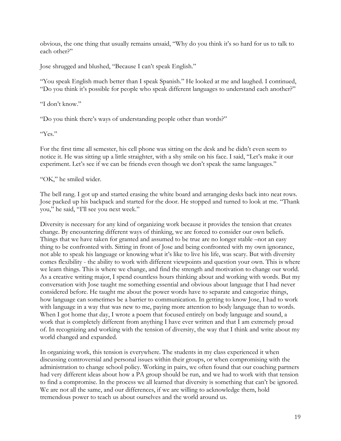obvious, the one thing that usually remains unsaid, "Why do you think it's so hard for us to talk to each other?"

Jose shrugged and blushed, "Because I can't speak English."

"You speak English much better than I speak Spanish." He looked at me and laughed. I continued, "Do you think it's possible for people who speak different languages to understand each another?"

"I don't know."

"Do you think there's ways of understanding people other than words?"

"Yes."

For the first time all semester, his cell phone was sitting on the desk and he didn't even seem to notice it. He was sitting up a little straighter, with a shy smile on his face. I said, "Let's make it our experiment. Let's see if we can be friends even though we don't speak the same languages."

"OK," he smiled wider.

The bell rang. I got up and started erasing the white board and arranging desks back into neat rows. Jose packed up his backpack and started for the door. He stopped and turned to look at me. "Thank you," he said, "I'll see you next week."

Diversity is necessary for any kind of organizing work because it provides the tension that creates change. By encountering different ways of thinking, we are forced to consider our own beliefs. Things that we have taken for granted and assumed to be true are no longer stable –not an easy thing to be confronted with. Sitting in front of Jose and being confronted with my own ignorance, not able to speak his language or knowing what it's like to live his life, was scary. But with diversity comes flexibility - the ability to work with different viewpoints and question your own. This is where we learn things. This is where we change, and find the strength and motivation to change our world. As a creative writing major, I spend countless hours thinking about and working with words. But my conversation with Jose taught me something essential and obvious about language that I had never considered before. He taught me about the power words have to separate and categorize things, how language can sometimes be a barrier to communication. In getting to know Jose, I had to work with language in a way that was new to me, paying more attention to body language than to words. When I got home that day, I wrote a poem that focused entirely on body language and sound, a work that is completely different from anything I have ever written and that I am extremely proud of. In recognizing and working with the tension of diversity, the way that I think and write about my world changed and expanded.

In organizing work, this tension is everywhere. The students in my class experienced it when discussing controversial and personal issues within their groups, or when compromising with the administration to change school policy. Working in pairs, we often found that our coaching partners had very different ideas about how a PA group should be run, and we had to work with that tension to find a compromise. In the process we all learned that diversity is something that can't be ignored. We are not all the same, and our differences, if we are willing to acknowledge them, hold tremendous power to teach us about ourselves and the world around us.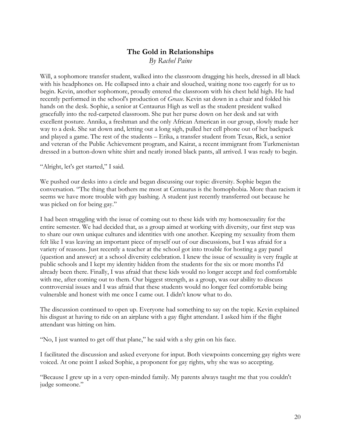## **The Gold in Relationships**

*By Rachel Paine* 

Will, a sophomore transfer student, walked into the classroom dragging his heels, dressed in all black with his headphones on. He collapsed into a chair and slouched, waiting none too eagerly for us to begin. Kevin, another sophomore, proudly entered the classroom with his chest held high. He had recently performed in the school's production of *Grease*. Kevin sat down in a chair and folded his hands on the desk. Sophie, a senior at Centaurus High as well as the student president walked gracefully into the red-carpeted classroom. She put her purse down on her desk and sat with excellent posture. Annika, a freshman and the only African American in our group, slowly made her way to a desk. She sat down and, letting out a long sigh, pulled her cell phone out of her backpack and played a game. The rest of the students – Erika, a transfer student from Texas, Rick, a senior and veteran of the Public Achievement program, and Kairat, a recent immigrant from Turkmenistan dressed in a button-down white shirt and neatly ironed black pants, all arrived. I was ready to begin.

"Alright, let's get started," I said.

We pushed our desks into a circle and began discussing our topic: diversity. Sophie began the conversation. "The thing that bothers me most at Centaurus is the homophobia. More than racism it seems we have more trouble with gay bashing. A student just recently transferred out because he was picked on for being gay."

I had been struggling with the issue of coming out to these kids with my homosexuality for the entire semester. We had decided that, as a group aimed at working with diversity, our first step was to share our own unique cultures and identities with one another. Keeping my sexuality from them felt like I was leaving an important piece of myself out of our discussions, but I was afraid for a variety of reasons. Just recently a teacher at the school got into trouble for hosting a gay panel (question and answer) at a school diversity celebration. I knew the issue of sexuality is very fragile at public schools and I kept my identity hidden from the students for the six or more months I'd already been there. Finally, I was afraid that these kids would no longer accept and feel comfortable with me, after coming out to them. Our biggest strength, as a group, was our ability to discuss controversial issues and I was afraid that these students would no longer feel comfortable being vulnerable and honest with me once I came out. I didn't know what to do.

The discussion continued to open up. Everyone had something to say on the topic. Kevin explained his disgust at having to ride on an airplane with a gay flight attendant. I asked him if the flight attendant was hitting on him.

"No, I just wanted to get off that plane," he said with a shy grin on his face.

I facilitated the discussion and asked everyone for input. Both viewpoints concerning gay rights were voiced. At one point I asked Sophie, a proponent for gay rights, why she was so accepting.

"Because I grew up in a very open-minded family. My parents always taught me that you couldn't judge someone."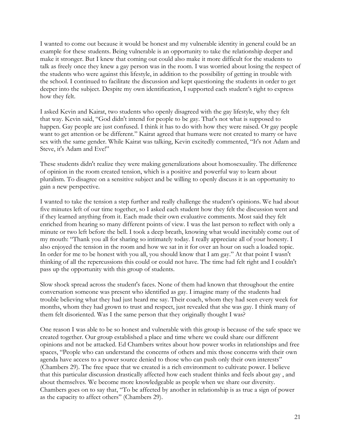I wanted to come out because it would be honest and my vulnerable identity in general could be an example for these students. Being vulnerable is an opportunity to take the relationship deeper and make it stronger. But I knew that coming out could also make it more difficult for the students to talk as freely once they knew a gay person was in the room. I was worried about losing the respect of the students who were against this lifestyle, in addition to the possibility of getting in trouble with the school. I continued to facilitate the discussion and kept questioning the students in order to get deeper into the subject. Despite my own identification, I supported each student's right to express how they felt.

I asked Kevin and Kairat, two students who openly disagreed with the gay lifestyle, why they felt that way. Kevin said, "God didn't intend for people to be gay. That's not what is supposed to happen. Gay people are just confused. I think it has to do with how they were raised. Or gay people want to get attention or be different." Kairat agreed that humans were not created to marry or have sex with the same gender. While Kairat was talking, Kevin excitedly commented, "It's not Adam and Steve, it's Adam and Eve!"

These students didn't realize they were making generalizations about homosexuality. The difference of opinion in the room created tension, which is a positive and powerful way to learn about pluralism. To disagree on a sensitive subject and be willing to openly discuss it is an opportunity to gain a new perspective.

I wanted to take the tension a step further and really challenge the student's opinions. We had about five minutes left of our time together, so I asked each student how they felt the discussion went and if they learned anything from it. Each made their own evaluative comments. Most said they felt enriched from hearing so many different points of view. I was the last person to reflect with only a minute or two left before the bell. I took a deep breath, knowing what would inevitably come out of my mouth: "Thank you all for sharing so intimately today. I really appreciate all of your honesty. I also enjoyed the tension in the room and how we sat in it for over an hour on such a loaded topic. In order for me to be honest with you all, you should know that I am gay." At that point I wasn't thinking of all the repercussions this could or could not have. The time had felt right and I couldn't pass up the opportunity with this group of students.

Slow shock spread across the student's faces. None of them had known that throughout the entire conversation someone was present who identified as gay. I imagine many of the students had trouble believing what they had just heard me say. Their coach, whom they had seen every week for months, whom they had grown to trust and respect, just revealed that she was gay. I think many of them felt disoriented. Was I the same person that they originally thought I was?

One reason I was able to be so honest and vulnerable with this group is because of the safe space we created together. Our group established a place and time where we could share our different opinions and not be attacked. Ed Chambers writes about how power works in relationships and free spaces, "People who can understand the concerns of others and mix those concerns with their own agenda have access to a power source denied to those who can push only their own interests" (Chambers 29). The free space that we created is a rich environment to cultivate power. I believe that this particular discussion drastically affected how each student thinks and feels about gay , and about themselves. We become more knowledgeable as people when we share our diversity. Chambers goes on to say that, "To be affected by another in relationship is as true a sign of power as the capacity to affect others" (Chambers 29).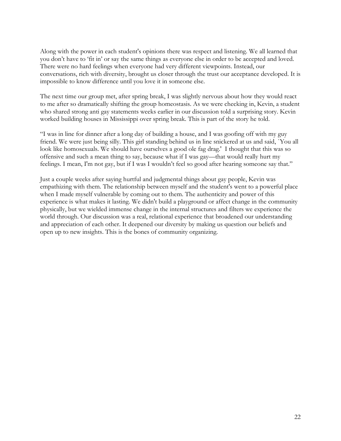Along with the power in each student's opinions there was respect and listening. We all learned that you don't have to 'fit in' or say the same things as everyone else in order to be accepted and loved. There were no hard feelings when everyone had very different viewpoints. Instead, our conversations, rich with diversity, brought us closer through the trust our acceptance developed. It is impossible to know difference until you love it in someone else.

The next time our group met, after spring break, I was slightly nervous about how they would react to me after so dramatically shifting the group homeostasis. As we were checking in, Kevin, a student who shared strong anti gay statements weeks earlier in our discussion told a surprising story. Kevin worked building houses in Mississippi over spring break. This is part of the story he told.

"I was in line for dinner after a long day of building a house, and I was goofing off with my guy friend. We were just being silly. This girl standing behind us in line snickered at us and said, `You all look like homosexuals. We should have ourselves a good ole fag drag.' I thought that this was so offensive and such a mean thing to say, because what if I was gay—that would really hurt my feelings. I mean, I'm not gay, but if I was I wouldn't feel so good after hearing someone say that."

Just a couple weeks after saying hurtful and judgmental things about gay people, Kevin was empathizing with them. The relationship between myself and the student's went to a powerful place when I made myself vulnerable by coming out to them. The authenticity and power of this experience is what makes it lasting. We didn't build a playground or affect change in the community physically, but we wielded immense change in the internal structures and filters we experience the world through. Our discussion was a real, relational experience that broadened our understanding and appreciation of each other. It deepened our diversity by making us question our beliefs and open up to new insights. This is the bones of community organizing.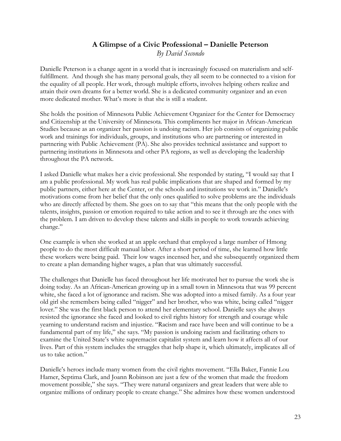### **A Glimpse of a Civic Professional – Danielle Peterson**  *By David Secondo*

Danielle Peterson is a change agent in a world that is increasingly focused on materialism and selffulfillment. And though she has many personal goals, they all seem to be connected to a vision for the equality of all people. Her work, through multiple efforts, involves helping others realize and attain their own dreams for a better world. She is a dedicated community organizer and an even more dedicated mother. What's more is that she is still a student.

She holds the position of Minnesota Public Achievement Organizer for the Center for Democracy and Citizenship at the University of Minnesota. This compliments her major in African-American Studies because as an organizer her passion is undoing racism. Her job consists of organizing public work and trainings for individuals, groups, and institutions who are partnering or interested in partnering with Public Achievement (PA). She also provides technical assistance and support to partnering institutions in Minnesota and other PA regions, as well as developing the leadership throughout the PA network.

I asked Danielle what makes her a civic professional. She responded by stating, "I would say that I am a public professional. My work has real public implications that are shaped and formed by my public partners, either here at the Center, or the schools and institutions we work in." Danielle's motivations come from her belief that the only ones qualified to solve problems are the individuals who are directly affected by them. She goes on to say that "this means that the only people with the talents, insights, passion or emotion required to take action and to see it through are the ones with the problem. I am driven to develop these talents and skills in people to work towards achieving change."

One example is when she worked at an apple orchard that employed a large number of Hmong people to do the most difficult manual labor. After a short period of time, she learned how little these workers were being paid. Their low wages incensed her, and she subsequently organized them to create a plan demanding higher wages, a plan that was ultimately successful.

The challenges that Danielle has faced throughout her life motivated her to pursue the work she is doing today. As an African-American growing up in a small town in Minnesota that was 99 percent white, she faced a lot of ignorance and racism. She was adopted into a mixed family. As a four year old girl she remembers being called "nigger" and her brother, who was white, being called "nigger lover." She was the first black person to attend her elementary school. Danielle says she always resisted the ignorance she faced and looked to civil rights history for strength and courage while yearning to understand racism and injustice. "Racism and race have been and will continue to be a fundamental part of my life," she says. "My passion is undoing racism and facilitating others to examine the United State's white supremacist capitalist system and learn how it affects all of our lives. Part of this system includes the struggles that help shape it, which ultimately, implicates all of us to take action."

Danielle's heroes include many women from the civil rights movement. "Ella Baker, Fannie Lou Hamer, Septima Clark, and Joann Robinson are just a few of the women that made the freedom movement possible," she says. "They were natural organizers and great leaders that were able to organize millions of ordinary people to create change." She admires how these women understood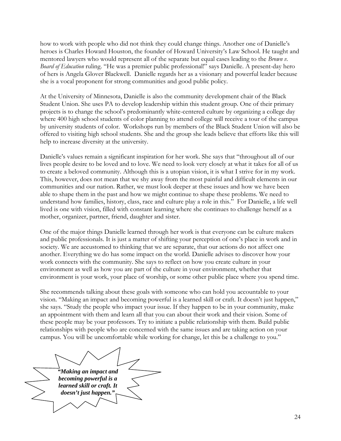how to work with people who did not think they could change things. Another one of Danielle's heroes is Charles Howard Houston, the founder of Howard University's Law School. He taught and mentored lawyers who would represent all of the separate but equal cases leading to the *Brown v. Board of Education* ruling. "He was a premier public professional!" says Danielle. A present-day hero of hers is Angela Glover Blackwell. Danielle regards her as a visionary and powerful leader because she is a vocal proponent for strong communities and good public policy.

At the University of Minnesota, Danielle is also the community development chair of the Black Student Union. She uses PA to develop leadership within this student group. One of their primary projects is to change the school's predominantly white-centered culture by organizing a college day where 400 high school students of color planning to attend college will receive a tour of the campus by university students of color. Workshops run by members of the Black Student Union will also be offered to visiting high school students. She and the group she leads believe that efforts like this will help to increase diversity at the university.

Danielle's values remain a significant inspiration for her work. She says that "throughout all of our lives people desire to be loved and to love. We need to look very closely at what it takes for all of us to create a beloved community. Although this is a utopian vision, it is what I strive for in my work. This, however, does not mean that we shy away from the most painful and difficult elements in our communities and our nation. Rather, we must look deeper at these issues and how we have been able to shape them in the past and how we might continue to shape these problems. We need to understand how families, history, class, race and culture play a role in this." For Danielle, a life well lived is one with vision, filled with constant learning where she continues to challenge herself as a mother, organizer, partner, friend, daughter and sister.

One of the major things Danielle learned through her work is that everyone can be culture makers and public professionals. It is just a matter of shifting your perception of one's place in work and in society. We are accustomed to thinking that we are separate, that our actions do not affect one another. Everything we do has some impact on the world. Danielle advises to discover how your work connects with the community. She says to reflect on how you create culture in your environment as well as how you are part of the culture in your environment, whether that environment is your work, your place of worship, or some other public place where you spend time.

She recommends talking about these goals with someone who can hold you accountable to your vision. "Making an impact and becoming powerful is a learned skill or craft. It doesn't just happen," she says. "Study the people who impact your issue. If they happen to be in your community, make an appointment with them and learn all that you can about their work and their vision. Some of these people may be your professors. Try to initiate a public relationship with them. Build public relationships with people who are concerned with the same issues and are taking action on your campus. You will be uncomfortable while working for change, let this be a challenge to you."

*"Making an impact and becoming powerful is a learned skill or craft. It doesn't just happen."*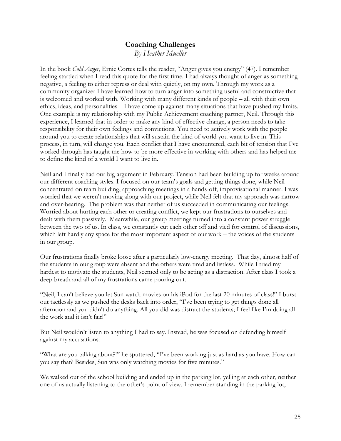## **Coaching Challenges**  *By Heather Mueller*

In the book *Cold Anger*, Ernie Cortes tells the reader, "Anger gives you energy" (47). I remember feeling startled when I read this quote for the first time. I had always thought of anger as something negative, a feeling to either repress or deal with quietly, on my own. Through my work as a community organizer I have learned how to turn anger into something useful and constructive that is welcomed and worked with. Working with many different kinds of people – all with their own ethics, ideas, and personalities – I have come up against many situations that have pushed my limits. One example is my relationship with my Public Achievement coaching partner, Neil. Through this experience, I learned that in order to make any kind of effective change, a person needs to take responsibility for their own feelings and convictions. You need to actively work with the people around you to create relationships that will sustain the kind of world you want to live in. This process, in turn, will change you. Each conflict that I have encountered, each bit of tension that I've worked through has taught me how to be more effective in working with others and has helped me to define the kind of a world I want to live in.

Neil and I finally had our big argument in February. Tension had been building up for weeks around our different coaching styles. I focused on our team's goals and getting things done, while Neil concentrated on team building, approaching meetings in a hands-off, improvisational manner. I was worried that we weren't moving along with our project, while Neil felt that my approach was narrow and over-bearing. The problem was that neither of us succeeded in communicating our feelings. Worried about hurting each other or creating conflict, we kept our frustrations to ourselves and dealt with them passively. Meanwhile, our group meetings turned into a constant power struggle between the two of us. In class, we constantly cut each other off and vied for control of discussions, which left hardly any space for the most important aspect of our work – the voices of the students in our group.

Our frustrations finally broke loose after a particularly low-energy meeting. That day, almost half of the students in our group were absent and the others were tired and listless. While I tried my hardest to motivate the students, Neil seemed only to be acting as a distraction. After class I took a deep breath and all of my frustrations came pouring out.

"Neil, I can't believe you let Sun watch movies on his iPod for the last 20 minutes of class!" I burst out tactlessly as we pushed the desks back into order, "I've been trying to get things done all afternoon and you didn't do anything. All you did was distract the students; I feel like I'm doing all the work and it isn't fair!"

But Neil wouldn't listen to anything I had to say. Instead, he was focused on defending himself against my accusations.

"What are you talking about?!" he sputtered, "I've been working just as hard as you have. How can you say that? Besides, Sun was only watching movies for five minutes."

We walked out of the school building and ended up in the parking lot, yelling at each other, neither one of us actually listening to the other's point of view. I remember standing in the parking lot,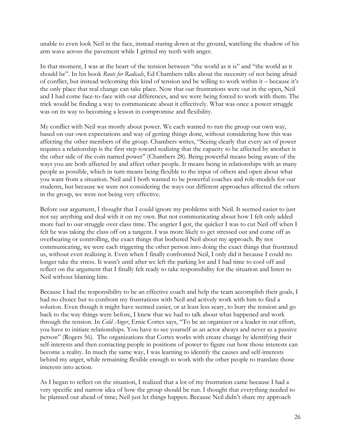unable to even look Neil in the face, instead staring down at the ground, watching the shadow of his arm wave across the pavement while I gritted my teeth with anger.

In that moment, I was at the heart of the tension between "the world as it is" and "the world as it should be". In his book *Roots for Radicals*, Ed Chambers talks about the necessity of not being afraid of conflict, but instead welcoming this kind of tension and be willing to work within it – because it's the only place that real change can take place. Now that our frustrations were out in the open, Neil and I had come face-to-face with our differences, and we were being forced to work with them. The trick would be finding a way to communicate about it effectively. What was once a power struggle was on its way to becoming a lesson in compromise and flexibility.

My conflict with Neil was mostly about power. We each wanted to run the group our own way, based on our own expectations and way of getting things done, without considering how this was affecting the other members of the group. Chambers writes, "Seeing clearly that every act of power requires a relationship is the first step toward realizing that the capacity to be affected by another is the other side of the coin named power" (Chambers 28). Being powerful means being aware of the ways you are both affected by and affect other people. It means being in relationships with as many people as possible, which in turn means being flexible to the input of others and open about what you want from a situation. Neil and I both wanted to be powerful coaches and role-models for our students, but because we were not considering the ways our different approaches affected the others in the group, we were not being very effective.

Before our argument, I thought that I could ignore my problems with Neil. It seemed easier to just not say anything and deal with it on my own. But not communicating about how I felt only added more fuel to our struggle over class time. The angrier I got, the quicker I was to cut Neil off when I felt he was taking the class off on a tangent. I was more likely to get stressed out and come off as overbearing or controlling, the exact things that bothered Neil about my approach. By not communicating, we were each triggering the other person into doing the exact things that frustrated us, without even realizing it. Even when I finally confronted Neil, I only did it because I could no longer take the stress. It wasn't until after we left the parking lot and I had time to cool off and reflect on the argument that I finally felt ready to take responsibility for the situation and listen to Neil without blaming him.

Because I had the responsibility to be an effective coach and help the team accomplish their goals, I had no choice but to confront my frustrations with Neil and actively work with him to find a solution. Even though it might have seemed easier, or at least less scary, to bury the tension and go back to the way things were before, I knew that we had to talk about what happened and work through the tension. In *Cold Anger*, Ernie Cortes says, "To be an organizer or a leader in our effort, you have to initiate relationships. You have to see yourself as an actor always and never as a passive person" (Rogers 56). The organizations that Cortes works with create change by identifying their self-interests and then contacting people in positions of power to figure out how those interests can become a reality. In much the same way, I was learning to identify the causes and self-interests behind my anger, while remaining flexible enough to work with the other people to translate those interests into action.

As I began to reflect on the situation, I realized that a lot of my frustration came because I had a very specific and narrow idea of how the group should be run. I thought that everything needed to be planned out ahead of time; Neil just let things happen. Because Neil didn't share my approach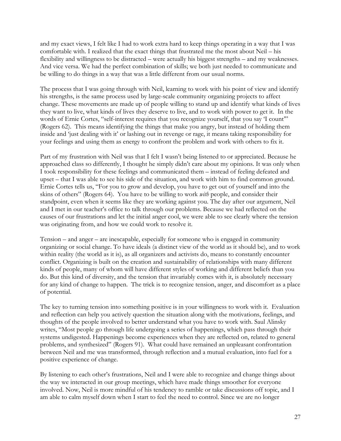and my exact views, I felt like I had to work extra hard to keep things operating in a way that I was comfortable with. I realized that the exact things that frustrated me the most about Neil – his flexibility and willingness to be distracted – were actually his biggest strengths – and my weaknesses. And vice versa. We had the perfect combination of skills; we both just needed to communicate and be willing to do things in a way that was a little different from our usual norms.

The process that I was going through with Neil, learning to work with his point of view and identify his strengths, is the same process used by large-scale community organizing projects to affect change. These movements are made up of people willing to stand up and identify what kinds of lives they want to live, what kinds of lives they deserve to live, and to work with power to get it. In the words of Ernie Cortes, "self-interest requires that you recognize yourself, that you say 'I count'" (Rogers 62). This means identifying the things that make you angry, but instead of holding them inside and 'just dealing with it' or lashing out in revenge or rage, it means taking responsibility for your feelings and using them as energy to confront the problem and work with others to fix it.

Part of my frustration with Neil was that I felt I wasn't being listened to or appreciated. Because he approached class so differently, I thought he simply didn't care about my opinions. It was only when I took responsibility for these feelings and communicated them – instead of feeling defeated and upset – that I was able to see his side of the situation, and work with him to find common ground. Ernie Cortes tells us, "For you to grow and develop, you have to get out of yourself and into the skins of others" (Rogers 64). You have to be willing to work *with* people, and consider their standpoint, even when it seems like they are working against you. The day after our argument, Neil and I met in our teacher's office to talk through our problems. Because we had reflected on the causes of our frustrations and let the initial anger cool, we were able to see clearly where the tension was originating from, and how we could work to resolve it.

Tension – and anger – are inescapable, especially for someone who is engaged in community organizing or social change. To have ideals (a distinct view of the world as it should be), and to work within reality (the world as it is), as all organizers and activists do, means to constantly encounter conflict. Organizing is built on the creation and sustainability of relationships with many different kinds of people, many of whom will have different styles of working and different beliefs than you do. But this kind of diversity, and the tension that invariably comes with it, is absolutely necessary for any kind of change to happen. The trick is to recognize tension, anger, and discomfort as a place of potential.

The key to turning tension into something positive is in your willingness to work with it. Evaluation and reflection can help you actively question the situation along with the motivations, feelings, and thoughts of the people involved to better understand what you have to work with. Saul Alinsky writes, "Most people go through life undergoing a series of happenings, which pass through their systems undigested. Happenings become experiences when they are reflected on, related to general problems, and synthesized" (Rogers 91). What could have remained an unpleasant confrontation between Neil and me was transformed, through reflection and a mutual evaluation, into fuel for a positive experience of change.

By listening to each other's frustrations, Neil and I were able to recognize and change things about the way we interacted in our group meetings, which have made things smoother for everyone involved. Now, Neil is more mindful of his tendency to ramble or take discussions off topic, and I am able to calm myself down when I start to feel the need to control. Since we are no longer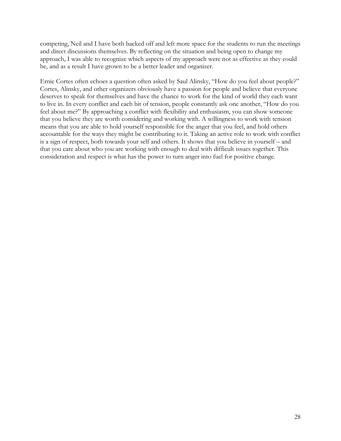competing, Neil and I have both backed off and left more space for the students to run the meetings and direct discussions themselves. By reflecting on the situation and being open to change my approach, I was able to recognize which aspects of my approach were not as effective as they could be, and as a result I have grown to be a better leader and organizer.

Ernie Cortes often echoes a question often asked by Saul Alinsky, "How do you feel about people?" Cortes, Alinsky, and other organizers obviously have a passion for people and believe that everyone deserves to speak for themselves and have the chance to work for the kind of world they each want to live in. In every conflict and each bit of tension, people constantly ask one another, "How do you feel about me?" By approaching a conflict with flexibility and enthusiasm, you can show someone that you believe they are worth considering and working with. A willingness to work with tension means that you are able to hold yourself responsible for the anger that you feel, and hold others accountable for the ways they might be contributing to it. Taking an active role to work with conflict is a sign of respect, both towards your self and others. It shows that you believe in yourself – and that you care about who you are working with enough to deal with difficult issues together. This consideration and respect is what has the power to turn anger into fuel for positive change.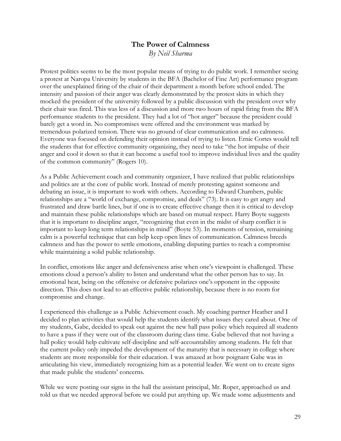## **The Power of Calmness**

*By Neil Sharma* 

Protest politics seems to be the most popular means of trying to do public work. I remember seeing a protest at Naropa University by students in the BFA (Bachelor of Fine Art) performance program over the unexplained firing of the chair of their department a month before school ended. The intensity and passion of their anger was clearly demonstrated by the protest skits in which they mocked the president of the university followed by a public discussion with the president over why their chair was fired. This was less of a discussion and more two hours of rapid firing from the BFA performance students to the president. They had a lot of "hot anger" because the president could barely get a word in. No compromises were offered and the environment was marked by tremendous polarized tension. There was no ground of clear communication and no calmness. Everyone was focused on defending their opinion instead of trying to listen. Ernie Cortes would tell the students that for effective community organizing, they need to take "the hot impulse of their anger and cool it down so that it can become a useful tool to improve individual lives and the quality of the common community" (Rogers 10).

As a Public Achievement coach and community organizer, I have realized that public relationships and politics are at the core of public work. Instead of merely protesting against someone and debating an issue, it is important to work with others. According to Edward Chambers, public relationships are a "world of exchange, compromise, and deals" (73). It is easy to get angry and frustrated and draw battle lines, but if one is to create effective change then it is critical to develop and maintain these public relationships which are based on mutual respect. Harry Boyte suggests that it is important to discipline anger, "recognizing that even in the midst of sharp conflict it is important to keep long term relationships in mind" (Boyte 53). In moments of tension, remaining calm is a powerful technique that can help keep open lines of communication. Calmness breeds calmness and has the power to settle emotions, enabling disputing parties to reach a compromise while maintaining a solid public relationship.

In conflict, emotions like anger and defensiveness arise when one's viewpoint is challenged. These emotions cloud a person's ability to listen and understand what the other person has to say. In emotional heat, being on the offensive or defensive polarizes one's opponent in the opposite direction. This does not lead to an effective public relationship, because there is no room for compromise and change.

I experienced this challenge as a Public Achievement coach. My coaching partner Heather and I decided to plan activities that would help the students identify what issues they cared about. One of my students, Gabe, decided to speak out against the new hall pass policy which required all students to have a pass if they were out of the classroom during class time. Gabe believed that not having a hall policy would help cultivate self-discipline and self-accountability among students. He felt that the current policy only impeded the development of the maturity that is necessary in college where students are more responsible for their education. I was amazed at how poignant Gabe was in articulating his view, immediately recognizing him as a potential leader. We went on to create signs that made public the students' concerns.

While we were posting our signs in the hall the assistant principal, Mr. Roper, approached us and told us that we needed approval before we could put anything up. We made some adjustments and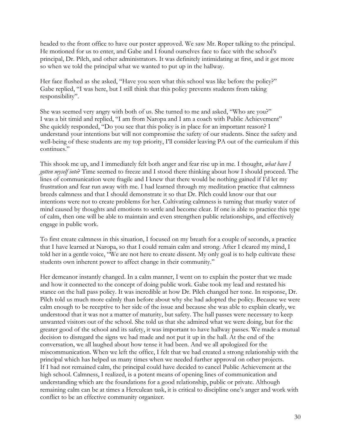headed to the front office to have our poster approved. We saw Mr. Roper talking to the principal. He motioned for us to enter, and Gabe and I found ourselves face to face with the school's principal, Dr. Pilch, and other administrators. It was definitely intimidating at first, and it got more so when we told the principal what we wanted to put up in the hallway.

Her face flushed as she asked, "Have you seen what this school was like before the policy?" Gabe replied, "I was here, but I still think that this policy prevents students from taking responsibility".

She was seemed very angry with both of us. She turned to me and asked, "Who are you?" I was a bit timid and replied, "I am from Naropa and I am a coach with Public Achievement" She quickly responded, "Do you see that this policy is in place for an important reason? I understand your intentions but will not compromise the safety of our students. Since the safety and well-being of these students are my top priority, I'll consider leaving PA out of the curriculum if this continues."

This shook me up, and I immediately felt both anger and fear rise up in me. I thought, *what have I gotten myself into*? Time seemed to freeze and I stood there thinking about how I should proceed. The lines of communication were fragile and I knew that there would be nothing gained if I'd let my frustration and fear run away with me. I had learned through my meditation practice that calmness breeds calmness and that I should demonstrate it so that Dr. Pilch could know our that our intentions were not to create problems for her. Cultivating calmness is turning that murky water of mind caused by thoughts and emotions to settle and become clear. If one is able to practice this type of calm, then one will be able to maintain and even strengthen public relationships, and effectively engage in public work.

To first create calmness in this situation, I focused on my breath for a couple of seconds, a practice that I have learned at Naropa, so that I could remain calm and strong. After I cleared my mind, I told her in a gentle voice, "We are not here to create dissent. My only goal is to help cultivate these students own inherent power to affect change in their community."

Her demeanor instantly changed. In a calm manner, I went on to explain the poster that we made and how it connected to the concept of doing public work. Gabe took my lead and restated his stance on the hall pass policy. It was incredible at how Dr. Pilch changed her tone. In response, Dr. Pilch told us much more calmly than before about why she had adopted the policy. Because we were calm enough to be receptive to her side of the issue and because she was able to explain clearly, we understood that it was not a matter of maturity, but safety. The hall passes were necessary to keep unwanted visitors out of the school. She told us that she admired what we were doing, but for the greater good of the school and its safety, it was important to have hallway passes. We made a mutual decision to disregard the signs we had made and not put it up in the hall. At the end of the conversation, we all laughed about how tense it had been. And we all apologized for the miscommunication. When we left the office, I felt that we had created a strong relationship with the principal which has helped us many times when we needed further approval on other projects. If I had not remained calm, the principal could have decided to cancel Public Achievement at the high school. Calmness, I realized, is a potent means of opening lines of communication and understanding which are the foundations for a good relationship, public or private. Although remaining calm can be at times a Herculean task, it is critical to discipline one's anger and work with conflict to be an effective community organizer.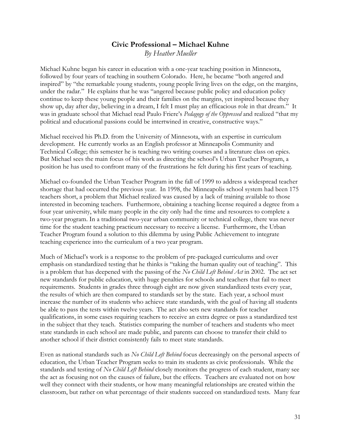### **Civic Professional – Michael Kuhne**  *By Heather Mueller*

Michael Kuhne began his career in education with a one-year teaching position in Minnesota, followed by four years of teaching in southern Colorado. Here, he became "both angered and inspired" by "the remarkable young students, young people living lives on the edge, on the margins, under the radar." He explains that he was "angered because public policy and education policy continue to keep these young people and their families on the margins, yet inspired because they show up, day after day, believing in a dream, I felt I must play an efficacious role in that dream." It was in graduate school that Michael read Paulo Friere's *Pedagogy of the Oppressed* and realized "that my political and educational passions could be intertwined in creative, constructive ways."

Michael received his Ph.D. from the University of Minnesota, with an expertise in curriculum development. He currently works as an English professor at Minneapolis Community and Technical College; this semester he is teaching two writing courses and a literature class on epics. But Michael sees the main focus of his work as directing the school's Urban Teacher Program, a position he has used to confront many of the frustrations he felt during his first years of teaching.

Michael co-founded the Urban Teacher Program in the fall of 1999 to address a widespread teacher shortage that had occurred the previous year. In 1998, the Minneapolis school system had been 175 teachers short, a problem that Michael realized was caused by a lack of training available to those interested in becoming teachers. Furthermore, obtaining a teaching license required a degree from a four year university, while many people in the city only had the time and resources to complete a two-year program. In a traditional two-year urban community or technical college, there was never time for the student teaching practicum necessary to receive a license. Furthermore, the Urban Teacher Program found a solution to this dilemma by using Public Achievement to integrate teaching experience into the curriculum of a two year program.

Much of Michael's work is a response to the problem of pre-packaged curriculums and over emphasis on standardized testing that he thinks is "taking the human quality out of teaching". This is a problem that has deepened with the passing of the *No Child Left Behind Act* in 2002. The act set new standards for public education, with huge penalties for schools and teachers that fail to meet requirements. Students in grades three through eight are now given standardized tests every year, the results of which are then compared to standards set by the state. Each year, a school must increase the number of its students who achieve state standards, with the goal of having all students be able to pass the tests within twelve years. The act also sets new standards for teacher qualifications, in some cases requiring teachers to receive an extra degree or pass a standardized test in the subject that they teach. Statistics comparing the number of teachers and students who meet state standards in each school are made public, and parents can choose to transfer their child to another school if their district consistently fails to meet state standards.

Even as national standards such as *No Child Left Behind* focus decreasingly on the personal aspects of education, the Urban Teacher Program seeks to train its students as civic professionals. While the standards and testing of *No Child Left Behind* closely monitors the progress of each student, many see the act as focusing not on the causes of failure, but the effects. Teachers are evaluated not on how well they connect with their students, or how many meaningful relationships are created within the classroom, but rather on what percentage of their students succeed on standardized tests. Many fear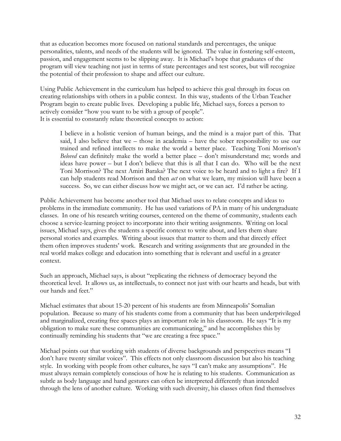that as education becomes more focused on national standards and percentages, the unique personalities, talents, and needs of the students will be ignored. The value in fostering self-esteem, passion, and engagement seems to be slipping away. It is Michael's hope that graduates of the program will view teaching not just in terms of state percentages and test scores, but will recognize the potential of their profession to shape and affect our culture.

Using Public Achievement in the curriculum has helped to achieve this goal through its focus on creating relationships with others in a public context. In this way, students of the Urban Teacher Program begin to create public lives. Developing a public life, Michael says, forces a person to actively consider "how you want to be with a group of people". It is essential to constantly relate theoretical concepts to action:

I believe in a holistic version of human beings, and the mind is a major part of this. That said, I also believe that we – those in academia – have the sober responsibility to use our trained and refined intellects to make the world a better place. Teaching Toni Morrison's *Beloved* can definitely make the world a better place – don't misunderstand me; words and ideas have power – but I don't believe that this is all that I can do. Who will be the next Toni Morrison? The next Amiri Baraka? The next voice to be heard and to light a fire? If I can help students read Morrison and then *act* on what we learn, my mission will have been a success. So, we can either discuss how we might act, or we can act. I'd rather be acting.

Public Achievement has become another tool that Michael uses to relate concepts and ideas to problems in the immediate community. He has used variations of PA in many of his undergraduate classes. In one of his research writing courses, centered on the theme of community, students each choose a service-learning project to incorporate into their writing assignments. Writing on local issues, Michael says, gives the students a specific context to write about, and lets them share personal stories and examples. Writing about issues that matter to them and that directly effect them often improves students' work. Research and writing assignments that are grounded in the real world makes college and education into something that is relevant and useful in a greater context.

Such an approach, Michael says, is about "replicating the richness of democracy beyond the theoretical level. It allows us, as intellectuals, to connect not just with our hearts and heads, but with our hands and feet."

Michael estimates that about 15-20 percent of his students are from Minneapolis' Somalian population. Because so many of his students come from a community that has been underprivileged and marginalized, creating free spaces plays an important role in his classroom. He says "It is my obligation to make sure these communities are communicating," and he accomplishes this by continually reminding his students that "we are creating a free space."

Michael points out that working with students of diverse backgrounds and perspectives means "I don't have twenty similar voices". This effects not only classroom discussion but also his teaching style. In working with people from other cultures, he says "I can't make any assumptions". He must always remain completely conscious of how he is relating to his students. Communication as subtle as body language and hand gestures can often be interpreted differently than intended through the lens of another culture. Working with such diversity, his classes often find themselves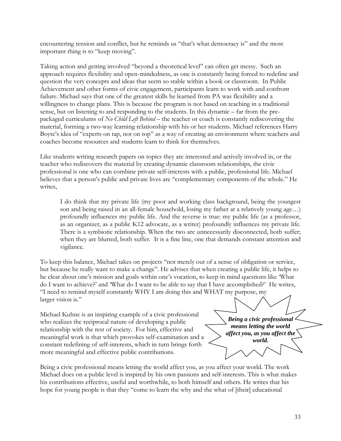encountering tension and conflict, but he reminds us "that's what democracy is" and the most important thing is to "keep moving".

Taking action and getting involved "beyond a theoretical level" can often get messy. Such an approach requires flexibility and open-mindedness, as one is constantly being forced to redefine and question the very concepts and ideas that seem so stable within a book or classroom. In Public Achievement and other forms of civic engagement, participants learn to work with and confront failure. Michael says that one of the greatest skills he learned from PA was flexibility and a willingness to change plans. This is because the program is not based on teaching in a traditional sense, but on listening to and responding to the students. In this dynamic – far from the prepackaged curriculums of *No Child Left Behind* – the teacher or coach is constantly rediscovering the material, forming a two-way learning relationship with his or her students. Michael references Harry Boyte's idea of "experts on tap, not on top" as a way of creating an environment where teachers and coaches become resources and students learn to think for themselves.

Like students writing research papers on topics they are interested and actively involved in, or the teacher who rediscovers the material by creating dynamic classroom relationships, the civic professional is one who can combine private self-interests with a public, professional life. Michael believes that a person's public and private lives are "complementary components of the whole." He writes,

I do think that my private life (my poor and working class background, being the youngest son and being raised in an all-female household, losing my father at a relatively young age…) profoundly influences my public life. And the reverse is true: my public life (as a professor, as an organizer, as a public K12 advocate, as a writer) profoundly influences my private life. There is a symbiotic relationship. When the two are unnecessarily disconnected, both suffer; when they are blurred, both suffer. It is a fine line, one that demands constant attention and vigilance.

To keep this balance, Michael takes on projects "not merely out of a sense of obligation or service, but because he really want to make a change". He advises that when creating a public life, it helps to be clear about one's mission and goals within one's vocation, to keep in mind questions like 'What do I want to achieve?' and 'What do I want to be able to say that I have accomplished?' He writes, "I need to remind myself constantly WHY I am doing this and WHAT my purpose, my larger vision is."

Michael Kuhne is an inspiring example of a civic professional who realizes the reciprocal nature of developing a public relationship with the rest of society. For him, effective and meaningful work is that which provokes self-examination and a constant redefining of self-interests, which in turn brings forth more meaningful and effective public contributions.

*Being a civic professional means letting the world affect you, as you affect the world.* 

Being a civic professional means letting the world affect you, as you affect your world. The work Michael does on a public level is inspired by his own passions and self-interests. This is what makes his contributions effective, useful and worthwhile, to both himself and others. He writes that his hope for young people is that they "come to learn the why and the what of [their] educational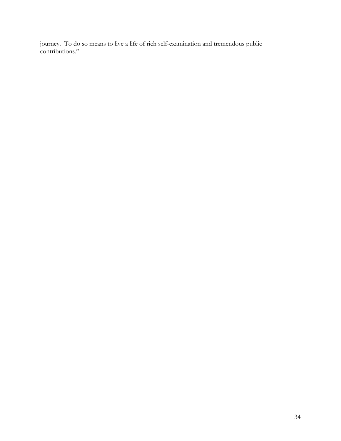journey. To do so means to live a life of rich self-examination and tremendous public contributions."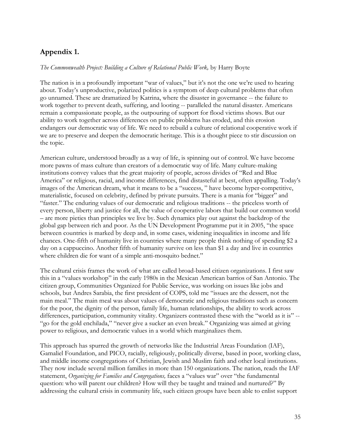## **Appendix 1.**

#### *The Commonwealth Project: Building a Culture of Relational Public Work,* by Harry Boyte

The nation is in a profoundly important "war of values," but it's not the one we're used to hearing about. Today's unproductive, polarized politics is a symptom of deep cultural problems that often go unnamed. These are dramatized by Katrina, where the disaster in governance -- the failure to work together to prevent death, suffering, and looting -- paralleled the natural disaster. Americans remain a compassionate people, as the outpouring of support for flood victims shows. But our ability to work together across differences on public problems has eroded, and this erosion endangers our democratic way of life. We need to rebuild a culture of relational cooperative work if we are to preserve and deepen the democratic heritage. This is a thought piece to stir discussion on the topic.

American culture, understood broadly as a way of life, is spinning out of control. We have become more pawns of mass culture than creators of a democratic way of life. Many culture-making institutions convey values that the great majority of people, across divides of "Red and Blue America" or religious, racial, and income differences, find distasteful at best, often appalling. Today's images of the American dream, what it means to be a "success, " have become hyper-competitive, materialistic, focused on celebrity, defined by private pursuits. There is a mania for "bigger" and "faster." The enduring values of our democratic and religious traditions -- the priceless worth of every person, liberty and justice for all, the value of cooperative labors that build our common world – are more pieties than principles we live by. Such dynamics play out against the backdrop of the global gap between rich and poor. As the UN Development Programme put it in 2005, "the space between countries is marked by deep and, in some cases, widening inequalities in income and life chances. One-fifth of humanity live in countries where many people think nothing of spending \$2 a day on a cappuccino. Another fifth of humanity survive on less than \$1 a day and live in countries where children die for want of a simple anti-mosquito bednet."

The cultural crisis frames the work of what are called broad-based citizen organizations. I first saw this in a "values workshop" in the early 1980s in the Mexican American barrios of San Antonio. The citizen group, Communities Organized for Public Service, was working on issues like jobs and schools, but Andres Sarabia, the first president of COPS, told me "issues are the dessert, not the main meal." The main meal was about values of democratic and religious traditions such as concern for the poor, the dignity of the person, family life, human relationships, the ability to work across differences, participation, community vitality. Organizers contrasted these with the "world as it is" -- "go for the gold enchilada," "never give a sucker an even break." Organizing was aimed at giving power to religious, and democratic values in a world which marginalizes them.

This approach has spurred the growth of networks like the Industrial Areas Foundation (IAF), Gamaliel Foundation, and PICO, racially, religiously, politically diverse, based in poor, working class, and middle income congregations of Christian, Jewish and Muslim faith and other local institutions. They now include several million families in more than 150 organizations. The nation, reads the IAF statement, *Organizing for Families and Congregations,* faces a "values war" over "the fundamental question: who will parent our children? How will they be taught and trained and nurtured?" By addressing the cultural crisis in community life, such citizen groups have been able to enlist support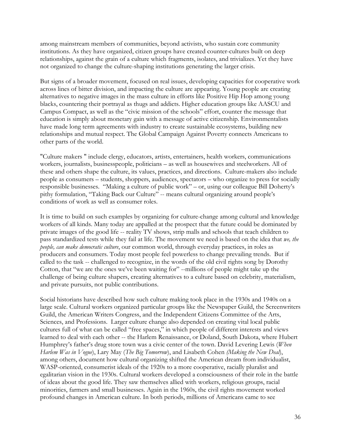among mainstream members of communities, beyond activists, who sustain core community institutions. As they have organized, citizen groups have created counter-cultures built on deep relationships, against the grain of a culture which fragments, isolates, and trivializes. Yet they have not organized to change the culture-shaping institutions generating the larger crisis.

But signs of a broader movement, focused on real issues, developing capacities for cooperative work across lines of bitter division, and impacting the culture are appearing. Young people are creating alternatives to negative images in the mass culture in efforts like Positive Hip Hop among young blacks, countering their portrayal as thugs and addicts. Higher education groups like AASCU and Campus Compact, as well as the "civic mission of the schools" effort, counter the message that education is simply about monetary gain with a message of active citizenship. Environmentalists have made long term agreements with industry to create sustainable ecosystems, building new relationships and mutual respect. The Global Campaign Against Poverty connects Americans to other parts of the world.

"Culture makers " include clergy, educators, artists, entertainers, health workers, communications workers, journalists, businesspeople, politicians – as well as housewives and steelworkers. All of these and others shape the culture, its values, practices, and directions. Culture-makers also include people as consumers – students, shoppers, audiences, spectators – who organize to press for socially responsible businesses. "Making a culture of public work" – or, using our colleague Bill Doherty's pithy formulation, "Taking Back our Culture" -- means cultural organizing around people's conditions of work as well as consumer roles.

It is time to build on such examples by organizing for culture-change among cultural and knowledge workers of all kinds. Many today are appalled at the prospect that the future could be dominated by private images of the good life -- reality TV shows, strip malls and schools that teach children to pass standardized tests while they fail at life. The movement we need is based on the idea that *we, the people, can make democratic culture*, our common world, through everyday practices, in roles as producers and consumers. Today most people feel powerless to change prevailing trends. But if called to the task -- challenged to recognize, in the words of the old civil rights song by Dorothy Cotton, that "we are the ones we've been waiting for" --millions of people might take up the challenge of being culture shapers, creating alternatives to a culture based on celebrity, materialism, and private pursuits, not public contributions.

Social historians have described how such culture making took place in the 1930s and 1940s on a large scale. Cultural workers organized particular groups like the Newspaper Guild, the Screenwriters Guild, the American Writers Congress, and the Independent Citizens Committee of the Arts, Sciences, and Professions. Larger culture change also depended on creating vital local public cultures full of what can be called "free spaces," in which people of different interests and views learned to deal with each other -- the Harlem Renaissance, or Doland, South Dakota, where Hubert Humphrey's father's drug store town was a civic center of the town. David Levering Lewis (*When Harlem Was in Vogue*), Lary May (*The Big Tomorrow*), and Lisabeth Cohen *(Making the New Deal*), among others, document how cultural organizing shifted the American dream from individualist, WASP-oriented, consumerist ideals of the 1920s to a more cooperative, racially pluralist and egalitarian vision in the 1930s. Cultural workers developed a consciousness of their role in the battle of ideas about the good life. They saw themselves allied with workers, religious groups, racial minorities, farmers and small businesses. Again in the 1960s, the civil rights movement worked profound changes in American culture. In both periods, millions of Americans came to see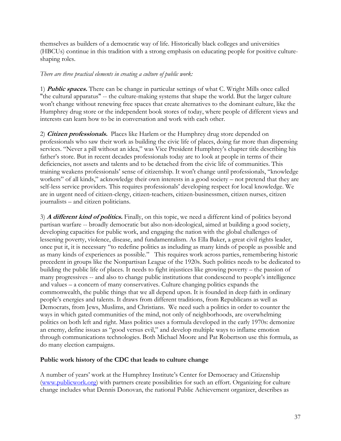themselves as builders of a democratic way of life. Historically black colleges and universities (HBCUs) continue in this tradition with a strong emphasis on educating people for positive cultureshaping roles.

### *There are three practical elements in creating a culture of public work:*

1) **Public spaces.** There can be change in particular settings of what C. Wright Mills once called "the cultural apparatus" -- the culture-making systems that shape the world. But the larger culture won't change without renewing free spaces that create alternatives to the dominant culture, like the Humphrey drug store or the independent book stores of today, where people of different views and interests can learn how to be in conversation and work with each other.

2) **Citizen professionals.** Places like Harlem or the Humphrey drug store depended on professionals who saw their work as building the civic life of places, doing far more than dispensing services. "Never a pill without an idea," was Vice President Humphrey's chapter title describing his father's store. But in recent decades professionals today are to look at people in terms of their deficiencies, not assets and talents and to be detached from the civic life of communities. This training weakens professionals' sense of citizenship. It won't change until professionals, "knowledge workers" of all kinds," acknowledge their own interests in a good society – not pretend that they are self-less service providers. This requires professionals' developing respect for local knowledge. We are in urgent need of citizen-clergy, citizen-teachers, citizen-businessmen, citizen nurses, citizen journalists – and citizen politicians.

3) **A different kind of politics.** Finally, on this topic, we need a different kind of politics beyond partisan warfare -- broadly democratic but also non-ideological, aimed at building a good society, developing capacities for public work, and engaging the nation with the global challenges of lessening poverty, violence, disease, and fundamentalism. As Ella Baker, a great civil rights leader, once put it, it is necessary "to redefine politics as including as many kinds of people as possible and as many kinds of experiences as possible." This requires work across parties, remembering historic precedent in groups like the Nonpartisan League of the 1920s. Such politics needs to be dedicated to building the public life of places. It needs to fight injustices like growing poverty – the passion of many progressives -- and also to change public institutions that condescend to people's intelligence and values – a concern of many conservatives. Culture changing politics expands the commonwealth, the public things that we all depend upon. It is founded in deep faith in ordinary people's energies and talents. It draws from different traditions, from Republicans as well as Democrats, from Jews, Muslims, and Christians. We need such a politics in order to counter the ways in which gated communities of the mind, not only of neighborhoods, are overwhelming politics on both left and right. Mass politics uses a formula developed in the early 1970s: demonize an enemy, define issues as "good versus evil," and develop multiple ways to inflame emotion through communications technologies. Both Michael Moore and Pat Robertson use this formula, as do many election campaigns.

### **Public work history of the CDC that leads to culture change**

A number of years' work at the Humphrey Institute's Center for Democracy and Citizenship (www.publicwork.org) with partners create possibilities for such an effort. Organizing for culture change includes what Dennis Donovan, the national Public Achievement organizer, describes as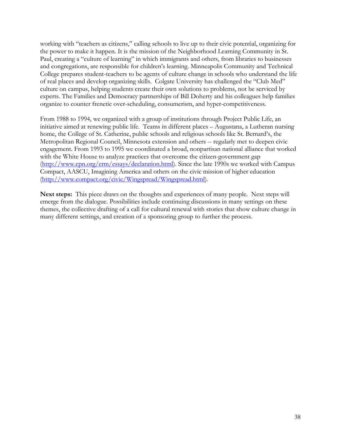working with "teachers as citizens," calling schools to live up to their civic potential, organizing for the power to make it happen. It is the mission of the Neighborhood Learning Community in St. Paul, creating a "culture of learning" in which immigrants and others, from libraries to businesses and congregations, are responsible for children's learning. Minneapolis Community and Technical College prepares student-teachers to be agents of culture change in schools who understand the life of real places and develop organizing skills. Colgate University has challenged the "Club Med" culture on campus, helping students create their own solutions to problems, not be serviced by experts. The Families and Democracy partnerships of Bill Doherty and his colleagues help families organize to counter frenetic over-scheduling, consumerism, and hyper-competitiveness.

From 1988 to 1994, we organized with a group of institutions through Project Public Life, an initiative aimed at renewing public life. Teams in different places – Augustana, a Lutheran nursing home, the College of St. Catherine, public schools and religious schools like St. Bernard's, the Metropolitan Regional Council, Minnesota extension and others -- regularly met to deepen civic engagement. From 1993 to 1995 we coordinated a broad, nonpartisan national alliance that worked with the White House to analyze practices that overcome the citizen-government gap (http://www.cpn.org/crm/essays/declaration.html). Since the late 1990s we worked with Campus Compact, AASCU, Imagining America and others on the civic mission of higher education (http://www.compact.org/civic/Wingspread/Wingspread.html).

**Next steps:** This piece draws on the thoughts and experiences of many people. Next steps will emerge from the dialogue. Possibilities include continuing discussions in many settings on these themes, the collective drafting of a call for cultural renewal with stories that show culture change in many different settings, and creation of a sponsoring group to further the process.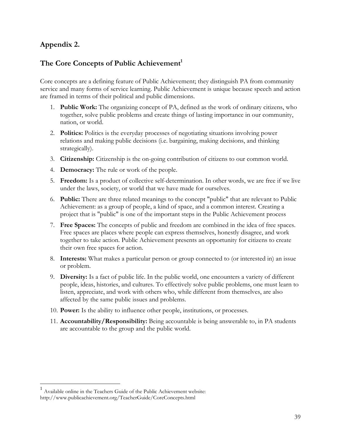## **Appendix 2.**

### The Core Concepts of Public Achievement<sup>1</sup>

Core concepts are a defining feature of Public Achievement; they distinguish PA from community service and many forms of service learning. Public Achievement is unique because speech and action are framed in terms of their political and public dimensions.

- 1. **Public Work:** The organizing concept of PA, defined as the work of ordinary citizens, who together, solve public problems and create things of lasting importance in our community, nation, or world.
- 2. **Politics:** Politics is the everyday processes of negotiating situations involving power relations and making public decisions (i.e. bargaining, making decisions, and thinking strategically).
- 3. **Citizenship:** Citizenship is the on-going contribution of citizens to our common world.
- 4. **Democracy:** The rule or work of the people.
- 5. **Freedom:** Is a product of collective self-determination. In other words, we are free if we live under the laws, society, or world that we have made for ourselves.
- 6. **Public:** There are three related meanings to the concept "public" that are relevant to Public Achievement: as a group of people, a kind of space, and a common interest. Creating a project that is "public" is one of the important steps in the Public Achievement process
- 7. **Free Spaces:** The concepts of public and freedom are combined in the idea of free spaces. Free spaces are places where people can express themselves, honestly disagree, and work together to take action. Public Achievement presents an opportunity for citizens to create their own free spaces for action.
- 8. **Interests:** What makes a particular person or group connected to (or interested in) an issue or problem.
- 9. **Diversity:** Is a fact of public life. In the public world, one encounters a variety of different people, ideas, histories, and cultures. To effectively solve public problems, one must learn to listen, appreciate, and work with others who, while different from themselves, are also affected by the same public issues and problems.
- 10. **Power:** Is the ability to influence other people, institutions, or processes.
- 11. **Accountability/Responsibility:** Being accountable is being answerable to, in PA students are accountable to the group and the public world.

 $\overline{a}$ 

<sup>1</sup> Available online in the Teachers Guide of the Public Achievement website: http://www.publicachievement.org/TeacherGuide/CoreConcepts.html